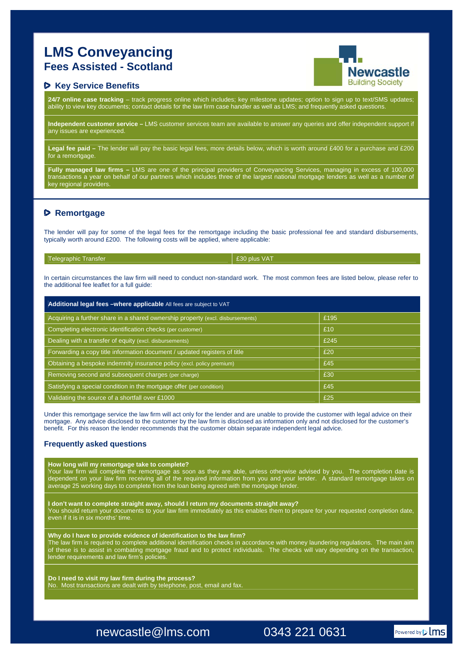# **LMS Conveyancing Fees Assisted - Scotland**

## $P$  Key Service Benefits

**24/7 online case tracking** – track progress online which includes; key milestone updates; option to sign up to text/SMS updates; ability to view key documents; contact details for the law firm case handler as well as LMS; and frequently asked questions.

**Independent customer service –** LMS customer services team are available to answer any queries and offer independent support if any issues are experienced.

**Legal fee paid –** The lender will pay the basic legal fees, more details below, which is worth around £400 for a purchase and £200 for a remortgage.

**Fully managed law firms –** LMS are one of the principal providers of Conveyancing Services, managing in excess of 100,000 transactions a year on behalf of our partners which includes three of the largest national mortgage lenders as well as a number of key regional providers.

# **Remortgage**

The lender will pay for some of the legal fees for the remortgage including the basic professional fee and standard disbursements, typically worth around £200. The following costs will be applied, where applicable:

| Telegraphic Transfer |  |  |
|----------------------|--|--|
|                      |  |  |

£30 plus VAT

In certain circumstances the law firm will need to conduct non-standard work. The most common fees are listed below, please refer to the additional fee leaflet for a full guide:

| Additional legal fees -where applicable All fees are subject to VAT            |      |  |  |  |
|--------------------------------------------------------------------------------|------|--|--|--|
| Acquiring a further share in a shared ownership property (excl. disbursements) | £195 |  |  |  |
| Completing electronic identification checks (per customer)                     | £10  |  |  |  |
| Dealing with a transfer of equity (excl. disbursements)                        | £245 |  |  |  |
| Forwarding a copy title information document / updated registers of title      | £20  |  |  |  |
| Obtaining a bespoke indemnity insurance policy (excl. policy premium)          | £45  |  |  |  |
| Removing second and subsequent charges (per charge)                            | £30  |  |  |  |
| Satisfying a special condition in the mortgage offer (per condition)           | £45  |  |  |  |
| Validating the source of a shortfall over £1000                                | £25  |  |  |  |

Under this remortgage service the law firm will act only for the lender and are unable to provide the customer with legal advice on their mortgage. Any advice disclosed to the customer by the law firm is disclosed as information only and not disclosed for the customer's benefit. For this reason the lender recommends that the customer obtain separate independent legal advice.

### **Frequently asked questions**

#### **How long will my remortgage take to complete?**

Your law firm will complete the remortgage as soon as they are able, unless otherwise advised by you. The completion date is dependent on your law firm receiving all of the required information from you and your lender. A standard remortgage takes on average 25 working days to complete from the loan being agreed with the mortgage lender.

**I don't want to complete straight away, should I return my documents straight away?** 

You should return your documents to your law firm immediately as this enables them to prepare for your requested completion date, even if it is in six months' time.

#### **Why do I have to provide evidence of identification to the law firm?**

The law firm is required to complete additional identification checks in accordance with money laundering regulations. The main aim of these is to assist in combating mortgage fraud and to protect individuals. The checks will vary depending on the transaction, lender requirements and law firm's policies.

**Do I need to visit my law firm during the process?**  No. Most transactions are dealt with by telephone, post, email and fax.

newcastle@lms.com 0343 221 0631

**Newcastle Building Society**